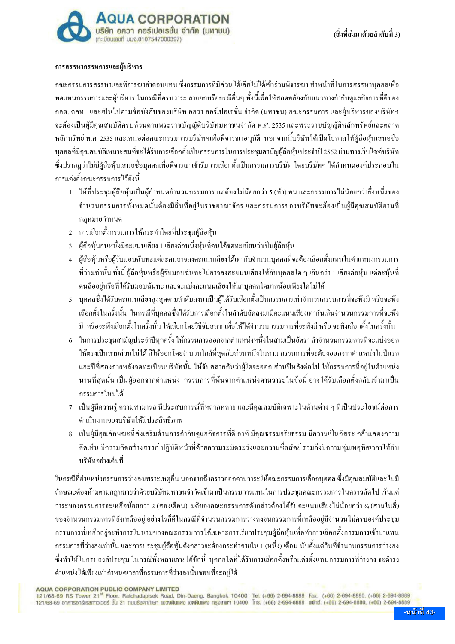

#### <u>การสรรหากรรมการและผู้บริหาร</u>

้ คณะกรรมการสรรหาและพิจารณาค่าตอบแทน ซึ่งกรรมการที่มีส่วนได้เสียไม่ได้เข้าร่วมพิจารณา ทำหน้าที่ในการสรรหาบคคลเพื่อ ้ ทดแทนกรรมการและผู้บริหาร ในกรณีที่ครบวาระ ลาออกหรือกรณีอื่นๆ ทั้งนี้เพื่อให้สอดคล้องกับแนวทางกำกับดูแลกิจการที่ดีของ ึกลต. ตลท. และเป็นไปตามข้อบังคับของบริษัท อควา คอร์เปอเรชั่น จำกัด (มหาชน) คณะกรรมการ และผู้บริหารของบริษัทฯ จะต้องเป็นผู้มีคุณสมบัติครบถ้วนตามพระราชบัญญัติบริษัทมหาชนจำกัด พ.ศ. 2535 และพระราชบัญญัติหลักทรัพย์และตลาด หลักทรัพย์ พ.ศ. 2535 และเสนอต่อคณะกรรมการบริษัทฯเพื่อพิจารณาอนมัติ นอกจากนี้บริษัทใค้เปิดโอกาสให้ผ้ถือห้นเสนอชื่อ ิบุคคลที่มีคุณสมบัติเหมาะสมที่จะได้รับการเลือกตั้งเป็นกรรมการในการประชุมสามัญผู้ถือหุ้นประจำปี 2562 ผ่านทางเว็บไซต์บริษัท ซึ่งปรากฏว่าไม่มีผู้ถือห้นเสนอชื่อบคคลเพื่อพิจารณาเข้ารับการเลือกตั้งเป็นกรรมการบริษัท โดยบริษัทฯ ได้กำหนดองค์ประกอบใน ์ การแต่งตั้งคณะกรรมการไว้ดังนี้

- 1. ให้ที่ประชุมผู้ถือหุ้นเป็นผู้กำหนดจำนวนกรรมการ แต่ต้องไม่น้อยกว่า 5 (ห้า) คน และกรรมการไม่น้อยกว่ากึ่งหนึ่งของ ี จำนวนกรรมการทั้งหมดนั้นด้องมีถิ่นที่อย่ในราชอาณาจักร และกรรมการของบริษัทจะด้องเป็นผ้มีคณสมบัติตามที่ กฎหมายกำหนด
- 2. การเลือกตั้งกรรมการให้กระทำโดยที่ประชุมผู้ถือหุ้น
- 3. ผู้ถือหุ้นคนหนึ่งมีคะแนนเสียง 1 เสียงต่อหนึ่งหุ้นที่ตนได้จดทะเบียนว่าเป็นผู้ถือหุ้น
- 4. ผู้ถือห้นหรือผ้รับมอบฉันทะแต่ละคนอาจลงคะแนนเสียงได้เท่ากับจำนวนบคคลที่จะต้องเลือกตั้งแทนในตำแหน่งกรรมการ ้ ที่ว่างเท่านั้น ทั้งนี้ ผู้ถือห้นหรือผู้รับมอบฉันทะ ไม่อาจลงคะแนนเสียงให้กับบคคลใด ๆ เกินกว่า 1 เสียงต่อห้น แต่ละห้นที่ ิตนถืออยู่หรือที่ได้รับมอบฉันทะ และจะแบ่งคะแนนเสียงให้แก่บุคคลใดมากน้อยเพียงใดไม่ได้
- 5. บุคคลซึ่งได้รับคะแนนเสียงสูงสุดตามลำดับลงมาเป็นผู้ได้รับเลือกตั้งเป็นกรรมการเท่าจำนวนกรรมการที่จะพึงมี หรือจะพึง ้เลือกตั้งในครั้งนั้น ในกรณีที่บุคคลซึ่งได้รับการเลือกตั้งในลำดับถัดลงมามีคะแนนเสียงเท่ากันเกินจำนวนกรรมการที่จะพึง ้มี หรือจะพึงเลือกตั้งในครั้งนั้น ให้เลือกโดยวิธีจับสลากเพื่อให้ได้จำนวนกรรมการที่จะพึงมี หรือ จะพึงเลือกตั้งในครั้งนั้น
- 6. ในการประชมสามัญประจำปีทกครั้ง ให้กรรมการออกจากตำแหน่งหนึ่งในสามเป็นอัตรา ถ้าจำนวนกรรมการที่จะแบ่งออก ให้ตรงเป็นสามส่วนไม่ได้ ก็ให้ออกโดยจำนวนใกล้ที่สุดกับส่วนหนึ่งในสาม กรรมการที่จะต้องออกจากตำแหน่งในปีแรก และปีที่สองภายหลังจดทะเบียนบริษัทนั้น ให้จับสลากกันว่าผู้ใดจะออก ส่วนปีหลังต่อไป ให้กรรมการที่อยู่ในตำแหน่ง นานที่สุดนั้น เป็นผู้ออกจากตำแหน่ง กรรมการที่พ้นจากตำแหน่งตามวาระในข้อนี้ อาจได้รับเลือกตั้งกลับเข้ามาเป็น กรรมการใหม่ได้
- ่ 7. เป็นผู้มีความรู้ ความสามารถ มีประสบการณ์ที่หลากหลาย และมีคณสมบัติเฉพาะในด้านต่าง ๆ ที่เป็นประโยชน์ต่อการ ดำเนินงานของบริษัทให้มีประสิทธิภาพ
- 8. เป็นผู้มีคุณลักษณะที่ส่งเสริมด้านการกำกับดูแลกิจการที่ดี อาทิ มีคุณธรรมจริยธรรม มีความเป็นอิสระ กล้าแสดงความ ้คิดเห็น มีความคิดสร้างสรรค์ ปฏิบัติหน้าที่ด้วยความระมัดระวังและความซื่อสัตย์ รวมถึงมีความทุ่มเทอุทิศเวลาให้กับ <sub>บริษั</sub>ทอย่างเต็มที่

ในกรณีที่ตำแหน่งกรรมการว่างลงเพราะเหตุอื่น นอกจากถึงคราวออกตามวาระให้คณะกรรมการเลือกบุคคล ซึ่งมีคุณสมบัติและไม่มี ้ลักษณะต้องห้ามตามกฎหมายว่าด้วยบริษัทมหาชนจำกัดเข้ามาเป็นกรรมการแทนในการประชมคณะกรรมการในคราวถัดไป เว้นแต่ ำาระของกรรมการจะเหลือน้อยกว่า 2 (สองเดือน) มติของคณะกรรมการคังกล่าวต้องใด้รับคะแนนเสียงใม่น้อยกว่า ¾ (สามในสี่) ี ของจำนวนกรรมการที่ยังเหลืออยู่ อย่างไรก็ดีในกรณีที่จำนวนกรรมการว่างลงจนกรรมการที่เหลืออยู่มีจำนวนไม่ครบองค์ประชุม ้ กรรมการที่เหลืออย่จะทำการในนามของคณะกรรมการได้เฉพาะการเรียกประชมผู้ถือห้นเพื่อทำการเลือกตั้งกรรมการเข้ามาแทน ี กรรมการที่ว่างลงเท่านั้น และการประชุมผู้ถือหุ้นดังกล่าวจะต้องกระทำภายใน 1 (หนึ่ง) เดือน นับตั้งแต่วันที่จำนวนกรรมการว่างลง ซึ่งทำให้ไม่ครบองค์ประชุม ในกรณีทั้งหลายภายใต้ข้อนี้ บุคคลใดที่ได้รับการเลือกตั้งหรือแต่งตั้งแทนกรรมการที่ว่างลง จะดำรง ้ตำแหน่งได้เพียงเท่ากำหนดเวลาที่กรรมการที่ว่างลงนั้นชอบที่จะอยู่ได้

**AQUA CORPORATION PUBLIC COMPANY LIMITED** 

121/68-69 RS Tower 21<sup>st</sup> Floor, Ratchadapisek Road, Din-Daeng, Bangkok 10400 Tel. (+66) 2-694-8888 Fax. (+66) 2-694-8880, (+66) 2-694-8889<br>121/68-69 อาคารอาร์เอสทาวเวอร์ ชั้น 21 กนบริษฎาภัยก แขวบดินแดง เอทคินแดง กรุงเทพฯ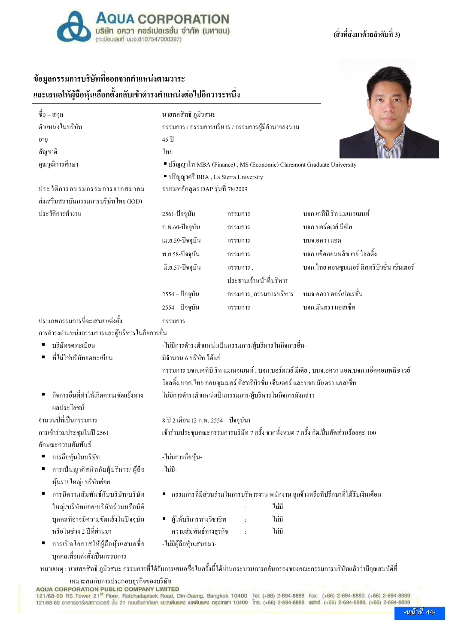

### (สิ่งที่ส่งมาด้วยลำดับที่ 3)

# ข้อมูลกรรมการบริษัทที่ออกจากตำแหน่งตามวาระ และเสนอให้ผ้ถือห้นเลือกตั้งกลับเข้าดำรงตำแหน่งต่อไปอีกวาระหนึ่ง

| ชื่อ – สกุล                                   | นายพลสิทธิ ภูมิวสนะ                                                                           |                                                                                    |                                               |  |  |  |
|-----------------------------------------------|-----------------------------------------------------------------------------------------------|------------------------------------------------------------------------------------|-----------------------------------------------|--|--|--|
| ตำแหน่งในบริษัท                               | ึกรรมการ / กรรมการบริหาร / กรรมการผู้มีอำนาจลงนาม                                             |                                                                                    |                                               |  |  |  |
| อายุ                                          | $45$ ll                                                                                       |                                                                                    |                                               |  |  |  |
| สัญชาติ                                       | ไทย                                                                                           |                                                                                    |                                               |  |  |  |
| คุณวุฒิการศึกษา                               | ■ ปริญญาโท MBA (Finance), MS (Economic) Claremont Graduate University                         |                                                                                    |                                               |  |  |  |
|                                               | · ปริญญาตรี BBA, La Sierra University                                                         |                                                                                    |                                               |  |  |  |
| ประวัติการอบรมกรรมการจากสมาคม                 | อบรมหลักสูตร DAP รุ่นที่ 78/2009                                                              |                                                                                    |                                               |  |  |  |
| ส่งเสริมสถาบันกรรมการบริษัทไทย (IOD)          |                                                                                               |                                                                                    |                                               |  |  |  |
| ประวัติการทำงาน                               | 2561-ปัจจุบัน                                                                                 | กรรมการ                                                                            | บจก,เคทีบี ริท แมเนจเมนท์                     |  |  |  |
|                                               | ก.พ.60-ปัจจุบัน                                                                               | กรรมการ                                                                            | บจก.บอร์ดเวย์ มีเดีย                          |  |  |  |
|                                               | เม.ย.59-ปัจจุบัน                                                                              | กรรมการ                                                                            | บมจ.อควา แอค                                  |  |  |  |
|                                               | พ.ย.58-ปัจจุบัน                                                                               | กรรมการ                                                                            | บจก.แอ็คคอมพลิช เวย์ โฮลดิ้ง                  |  |  |  |
|                                               | มิ.ย.57-ปัจจุบัน                                                                              | กรรมการ,                                                                           | ้บจก. ไทย คอนซูมเมอร์ ดิสทริบิวชั่น เซ็นเตอร์ |  |  |  |
|                                               |                                                                                               | ประธานเจ้าหน้าที่บริหาร                                                            |                                               |  |  |  |
|                                               | 2554 – ปัจจุบัน                                                                               | กรรมการ, กรรมการบริหาร                                                             | บมจ.อควา คอร์เปอเรชั่น                        |  |  |  |
|                                               | 2554 – ปัจจุบัน                                                                               | กรรมการ                                                                            | บจก.มันตรา แอสเซ็ท                            |  |  |  |
| ประเภทกรรมการที่จะเสนอแต่งตั้ง                | กรรมการ                                                                                       |                                                                                    |                                               |  |  |  |
| การคำรงตำแหน่งกรรมการและผู้บริหารในกิจการอื่น |                                                                                               |                                                                                    |                                               |  |  |  |
| บริษัทจดทะเบียน                               |                                                                                               | -ไม่มีการคำรงตำแหน่งเป็นกรรมการ/ผู้บริหารในกิจการอื่น-                             |                                               |  |  |  |
| ที่ไม่ใช่บริษัทจดทะเบียน                      | มีจำนวน 6 บริษัท ได้แก่                                                                       |                                                                                    |                                               |  |  |  |
|                                               | ึกรรมการ บจก.เคทีบี ริท แมเนจเมนท์ , บจก.บอร์คเวย์ มีเคีย , บมจ.อควา แอค,บจก.แอ็คคอมพลิช เวย์ |                                                                                    |                                               |  |  |  |
|                                               | โฮลดิ้ง,บจก.ไทย คอนซูมเมอร์ ดิสทริบิวชั่น เซ็นเตอร์ และบจก.มันตรา แอสเซ็ท                     |                                                                                    |                                               |  |  |  |
| กิจการอื่นที่ทำให้เกิดความขัดแย้งทาง          | ใม่มีการคำรงตำแหน่งเป็นกรรมการ/ผู้บริหารในกิจการคังกล่าว                                      |                                                                                    |                                               |  |  |  |
| ผลประโยชน์                                    |                                                                                               |                                                                                    |                                               |  |  |  |
| จำนวนปีที่เป็นกรรมการ                         | 8 ปี 2 เคือน (2 ก.พ. 2554 – ปัจจุบัน)                                                         |                                                                                    |                                               |  |  |  |
| การเข้าร่วมประชุมในปี 2561                    |                                                                                               | เข้าร่วมประชุมคณะกรรมการบริษัท 7 ครั้ง จากทั้งหมด 7 ครั้ง คิดเป็นสัดส่วนร้อยละ 100 |                                               |  |  |  |
| ลักษณะความสัมพันธ์                            |                                                                                               |                                                                                    |                                               |  |  |  |
| การถือหุ้นในบริษัท                            | -ไม่มีการถือหุ้น-                                                                             |                                                                                    |                                               |  |  |  |
| การเป็นญาติสนิทกับผู้บริหาร/ ผู้ถือ           | -ไม่มี-                                                                                       |                                                                                    |                                               |  |  |  |
| หุ้นรายใหญ่/ บริษัทย่อย                       |                                                                                               |                                                                                    |                                               |  |  |  |
| การมีความสัมพันธ์กับบริษัท/บริษัท             | ■   กรรมการที่มีส่วนร่วมในการบริหารงาน พนักงาน ลูกจ้างหรือที่ปรึกษาที่ได้รับเงินเดือน         |                                                                                    |                                               |  |  |  |
| ใหญ่/บริษัทย่อย/บริษัทร่วมหรือนิติ            |                                                                                               | ไม่มี                                                                              |                                               |  |  |  |
| บุคคลที่อาจมีความขัดแย้งในปัจจุบัน            | ผู้ให้บริการทางวิชาชีพ<br>$\blacksquare$                                                      | ไม่มี<br>$\cdot$                                                                   |                                               |  |  |  |
| หรือในช่วง 2 ปีที่ผ่านมา                      | ความสัมพันธ์ทางธุรกิจ                                                                         | ไม่มี<br>$\ddot{\phantom{a}}$                                                      |                                               |  |  |  |
| การเปิดโอกาสให้ผู้ถือหุ้นเสนอชื่อ             | -ไม่มีผู้ถือหุ้นเสนอมา-                                                                       |                                                                                    |                                               |  |  |  |
| บุคคลเพื่อแต่งตั้งเป็นกรรมการ                 |                                                                                               |                                                                                    |                                               |  |  |  |

<u>หมายเหตุ :</u> นายพลสิทธิ ภูมิวสนะ กรรมการที่ได้รับการเสนอชื่อในครั้งนี้ได้ผ่านกระบวนการกลั่นกรองของคณะกรรมการบริษัทแล้วว่ามีคุณสมบัติที่

เหมาะสมกับการประกอบธุรกิจของบริษัท

AQUA CORPORATION PUBLIC COMPANY LIMITED<br>121/68-69 RS Tower 21<sup>st</sup> Floor, Ratchadapisek Road, Din-Daeng, Bangkok 10400 Tel. (+66) 2-694-8888 Fax. (+66) 2-694-8880, (+66) 2-694-8889<br>121/68-69 อาคารอาร์เอสทาวเวอร์ ชั้น 21 ถนน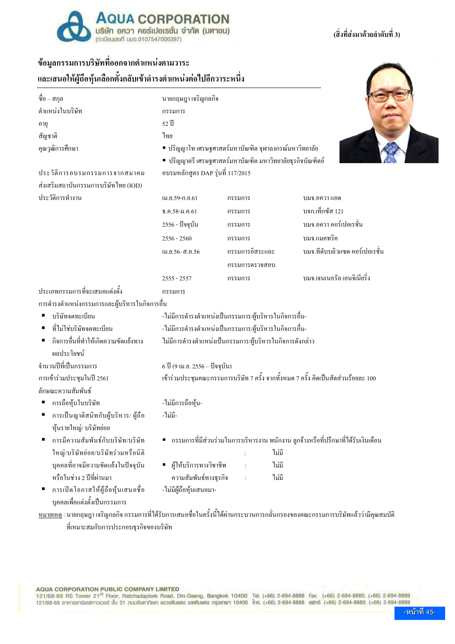

#### (สิ่งที่ส่งมาด้วยลำดับที่ 3)

## ข้อมูลกรรมการบริษัทที่ออกจากตำแหน่งตามวาระ

และเสนอให้ผู้ถือหุ้นเลือกตั้งกลับเข้าดำรงตำแหน่งต่อไปอีกวาระหนึ่ง

| ชื่อ – สกุล                                                            | นายกฤษฎา เจริญกลกิจ                                                                   |                      |                                 |  |  |  |
|------------------------------------------------------------------------|---------------------------------------------------------------------------------------|----------------------|---------------------------------|--|--|--|
| ตำแหน่งในบริษัท                                                        | กรรมการ                                                                               |                      |                                 |  |  |  |
| อายุ                                                                   | 52 ปี                                                                                 |                      |                                 |  |  |  |
| สัญชาติ                                                                | ไทย                                                                                   |                      |                                 |  |  |  |
| คุณวุฒิการศึกษา                                                        | ■ ปริญญาโท เศรษฐศาสตร์มหาบัณฑิต จุฬาลงกรณ์มหาวิทยาลัย                                 |                      |                                 |  |  |  |
|                                                                        | ■ ปริญญาตรี เศรษฐศาสตร์มหาบัณฑิต มหาวิทยาลัยธุรกิจบัณฑิตย์                            |                      |                                 |  |  |  |
| ประวัติการอบรมกรรมการจากสมาคม                                          | อบรมหลักสูตร DAP รุ่นที่ 117/2015                                                     |                      |                                 |  |  |  |
| ส่งเสริมสถาบันกรรมการบริษัทไทย (IOD)                                   |                                                                                       |                      |                                 |  |  |  |
| ประวัติการทำงาน                                                        | ນ.ຍ.59-ກ.ຍ.61                                                                         | กรรมการ              | บมจ.อควา แอค                    |  |  |  |
|                                                                        | $f, f, 58 - 1, f, 61$                                                                 | กรรมการ              | บจก.เท็กซัส 121                 |  |  |  |
|                                                                        | 2556 - ปัจจุบัน                                                                       | กรรมการ              | ิบมจ.อควา คอร์เปอเรชั่น         |  |  |  |
|                                                                        | $2556 - 2560$                                                                         | กรรมการ              | บมจ.แมคทริค                     |  |  |  |
|                                                                        | เม.ย.56-ส.ค.56                                                                        | กรรมการอิสระและ      | บมจ.ที่คับบลิวแซค กอร์เปอเรชั่น |  |  |  |
|                                                                        |                                                                                       | กรรมการตรวจสอบ       |                                 |  |  |  |
|                                                                        | $2555 - 2557$                                                                         | กรรมการ              | บมจ.เจนเนอรัล เอนจิเนียริ่ง     |  |  |  |
| ประเภทกรรมการที่จะเสนอแต่งตั้ง                                         | กรรมการ                                                                               |                      |                                 |  |  |  |
| การคำรงตำแหน่งกรรมการและผู้บริหารในกิจการอื่น                          |                                                                                       |                      |                                 |  |  |  |
| บริษัทจดทะเบียน                                                        | -ไม่มีการคำรงตำแหน่งเป็นกรรมการ/ผู้บริหารในกิจการอื่น-                                |                      |                                 |  |  |  |
| ที่ไม่ใช่บริษัทจดทะเบียน                                               | -ไม่มีการคำรงตำแหน่งเป็นกรรมการ/ผู้บริหารในกิจการอื่น-                                |                      |                                 |  |  |  |
| กิจการอื่นที่ทำให้เกิดความขัดแย้งทาง<br>ผลประโยชน์                     | ไม่มีการคำรงตำแหน่งเป็นกรรมการ/ผู้บริหารในกิจการคังกล่าว                              |                      |                                 |  |  |  |
| จำนวนปีที่เป็นกรรมการ                                                  | 6 ปี (9 เม.ย. 2556 – ปัจจุบัน)                                                        |                      |                                 |  |  |  |
| การเข้าร่วมประชุมในปี 2561                                             | เข้าร่วมประชุมคณะกรรมการบริษัท 7 ครั้ง จากทั้งหมด 7 ครั้ง คิดเป็นสัดส่วนร้อยละ 100    |                      |                                 |  |  |  |
| ลักษณะความสัมพันธ์                                                     |                                                                                       |                      |                                 |  |  |  |
| การถือหุ้นในบริษัท                                                     | -ไม่มีการถือหุ้น-                                                                     |                      |                                 |  |  |  |
| การเป็นญาติสนิทกับผู้บริหาร/ ผู้ถือ                                    | -ไม่มี-                                                                               |                      |                                 |  |  |  |
| หุ้นรายใหญ่/ บริษัทย่อย                                                |                                                                                       |                      |                                 |  |  |  |
| การมีความสัมพันธ์กับบริษัท/บริษัท                                      | ■   กรรมการที่มีส่วนร่วมในการบริหารงาน พนักงาน ลูกจ้างหรือที่ปรึกษาที่ได้รับเงินเดือน |                      |                                 |  |  |  |
| ใหญ่/บริษัทย่อย/บริษัทร่วมหรือนิติ                                     |                                                                                       |                      | ไม่มี                           |  |  |  |
| บุคคลที่อาจมีความขัดแย้งในปัจจุบัน                                     | ผู้ให้บริการทางวิชาชีพ<br>٠                                                           | $\ddot{\phantom{a}}$ | ไม่มี                           |  |  |  |
| หรือในช่วง 2 ปีที่ผ่านมา                                               | ความสัมพันธ์ทางธุรกิจ                                                                 | ÷                    | ไม่มี                           |  |  |  |
| การเปิดโอกาสให้ผู้ถือหุ้นเสนอชื่อ<br>п<br>บคคลเพื่อแต่งตั้งเป็นกรรมการ | -ไม่มีผู้ถือหุ้นเสนอมา-                                                               |                      |                                 |  |  |  |

<u>หมายเหตุ :</u> นายกฤษฎา เจริญกลกิจ กรรมการที่ได้รับการเสนอชื่อในครั้งนี้ได้ผ่านกระบวนการกลั่นกรองของคณะกรรมการบริษัทแล้วว่ามีคุณสมบัติ ที่เหมาะสมกับการประกอบธุรกิจของบริษัท

**AQUA CORPORATION PUBLIC COMPANY LIMITED**<br>121/68-69 RS Tower 21<sup>st</sup> Floor, Ratchadapisek Road, Din-Daeng, Bangkok 10400 Tel. (+66) 2-694-8888 Fax. (+66) 2-694-8880, (+66) 2-694-8889<br>121/68-69 อาคารอาร์เอสทาวเวอร์ ชั้น 21 ก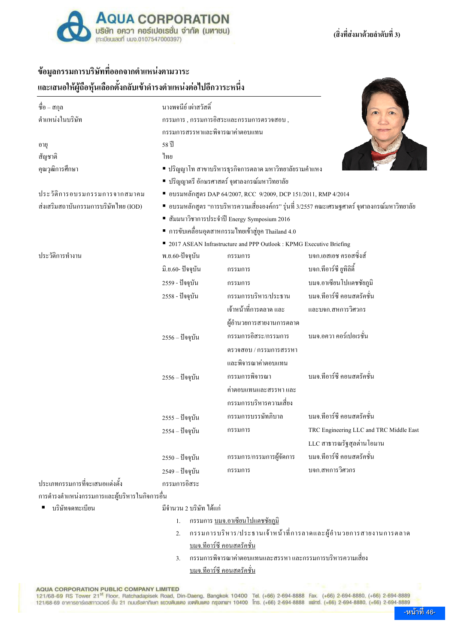

### (สิ่งที่ส่งมาด้วยลำดับที่ 3)

### ช้อมูลกรรมการบริษัทที่ออกจากตำแหน่งตามวาระ

และเสนอให้ผู้ถือหุ้นเลือกตั้งกลับเข้าดำรงตำแหน่งต่อไปอีกวาระหนึ่ง

| ชื่อ – สกุล                                             | นางพจนีย์ เผ่าสวัสดิ์                                                                         |                                         |                                         |  |  |  |
|---------------------------------------------------------|-----------------------------------------------------------------------------------------------|-----------------------------------------|-----------------------------------------|--|--|--|
| ตำแหน่งในบริษัท                                         |                                                                                               | กรรมการ, กรรมการอิสระและกรรมการตรวจสอบ, |                                         |  |  |  |
|                                                         | กรรมการสรรหาและพิจารณาค่าตอบแทน                                                               |                                         |                                         |  |  |  |
| อายุ                                                    | 58 ปี                                                                                         |                                         |                                         |  |  |  |
| สัญชาติ                                                 | ไทย                                                                                           |                                         |                                         |  |  |  |
| คุณวุฒิการศึกษา                                         | ■ ปริญญาโท สาขาบริหารธุรกิจการตลาด มหาวิทยาลัยรามคำแหง                                        |                                         |                                         |  |  |  |
|                                                         | ■ ปริญญาตรี อักษรศาสตร์ จุฬาลงกรณ์มหาวิทยาลัย                                                 |                                         |                                         |  |  |  |
| ประวัติการอบรมกรรมการจากสมาคม                           | ■ อบรมหลักสูตร DAP 64/2007, RCC 9/2009, DCP 151/2011, RMP 4/2014                              |                                         |                                         |  |  |  |
| ส่งเสริมสถาบันกรรมการบริษัทไทย (IOD)                    | ■ อบรมหลักสูตร "การบริหารความเสี่ยงองค์กร" รุ่นที่ 3/2557 คณะเศรษฐศาตร์ จุฬาลงกรณ์มหาวิทยาลัย |                                         |                                         |  |  |  |
|                                                         | ■ สัมมนาวิชาการประจำปี Energy Symposium 2016                                                  |                                         |                                         |  |  |  |
|                                                         | ■ การขับเคลื่อนอุตสาหกรรมใทยเข้าสู่ยุค Thailand 4.0                                           |                                         |                                         |  |  |  |
|                                                         | ■ 2017 ASEAN Infrastructure and PPP Outlook: KPMG Executive Briefing                          |                                         |                                         |  |  |  |
| ประวัติการทำงาน                                         | พ.ย.60-ปัจจุบัน                                                                               | กรรมการ                                 | บจก.เอสเอช ครอสซิงส์                    |  |  |  |
|                                                         | มิ.ย.60- ปัจจุบัน                                                                             | กรรมการ                                 | บจก.ทีอาร์ซี ยูทิลิตี้                  |  |  |  |
|                                                         | 2559 - ปัจจุบัน                                                                               | กรรมการ                                 | บมจ.อาเซียนโปแตชชัยภูมิ                 |  |  |  |
|                                                         | 2558 - ปัจจุบัน                                                                               | กรรมการบริหาร/ประธาน                    | บมจ.ทีอาร์ซี คอนสตรัคชั่น               |  |  |  |
|                                                         |                                                                                               | ้เจ้าหน้าที่การตลาด และ                 | และบจก.สหการวิศวกร                      |  |  |  |
|                                                         |                                                                                               | ผู้อำนวยการสายงานการตลาด                |                                         |  |  |  |
|                                                         | $2556 -$ ปัจจุบัน                                                                             | กรรมการอิสระ/กรรมการ                    | บมจ.อควา คอร์เปอเรชั่น                  |  |  |  |
|                                                         |                                                                                               | ตรวจสอบ / กรรมการสรรหา                  |                                         |  |  |  |
|                                                         |                                                                                               | และพิจารณาค่าตอบแทน                     |                                         |  |  |  |
|                                                         | $2556 -$ ปัจจุบัน                                                                             | กรรมการพิจารณา                          | ็บมจ.ทีอาร์ซี คอนสตรัคชั่น              |  |  |  |
|                                                         |                                                                                               | ้ค่าตอบแทนและสรรหา และ                  |                                         |  |  |  |
|                                                         |                                                                                               | ีกรรมการบริหารความเสี่ยง                |                                         |  |  |  |
|                                                         | 2555 – ปัจจุบัน                                                                               | กรรมการบรรษัทภิบาล                      | บมจ.ทีอาร์ซี คอนสตรัคชั่น               |  |  |  |
|                                                         | 2554 – ปัจจุบัน                                                                               | กรรมการ                                 | TRC Engineering LLC and TRC Middle East |  |  |  |
|                                                         |                                                                                               |                                         | LLC สาธารณรัฐสุลต่านโอมาน               |  |  |  |
|                                                         | $2550 -$ ปัจจุบัน                                                                             | กรรมการ/กรรมการผู้จัดการ                | ็บมจ.ทีอาร์ซี คอนสตรัคชั่น              |  |  |  |
|                                                         | 2549 – ปัจจุบัน                                                                               | กรรมการ                                 | บจก.สหการวิศวกร                         |  |  |  |
| ประเภทกรรมการที่จะเสนอแต่งตั้ง<br>$9 \quad \Rightarrow$ | กรรมการอิสระ<br>A.                                                                            |                                         |                                         |  |  |  |

ี การคำรงตำแหน่งกรรมการและผู้บริหารในกิจการอื่น

- บริษัทจดทะเบียน มีจำนวน 2 บริษัท ได้แก่
	- 1. กรรมการ <u>บมจ.อาเซียน โปแตชชัยภมิ</u>
	- 2. กรรมการบริหาร/ประธานเจ้าหน้าที่การลาดและผู้อำนวยการสายงานการตลาด บมจ.ทีอาร์ซี คอนสตรัคชั่น
	- 3. กรรมการพิจารณาค่าตอบแทนและสรรหา และกรรมการบริหารความเสี่ยง บมจ.ทีอาร์ซี คอนสตรัคชั่น

**AQUA CORPORATION PUBLIC COMPANY LIMITED**<br>121/68-69 RS Tower 21<sup>st</sup> Floor, Ratchadapisek Road, Din-Daeng, Bangkok 10400 Tel. (+66) 2-694-8888 Fax. (+66) 2-694-8880, (+66) 2-694-8889<br>121/68-69 อาคารอาร์เอสทาวเวอร์ ชั้น 21 ถ